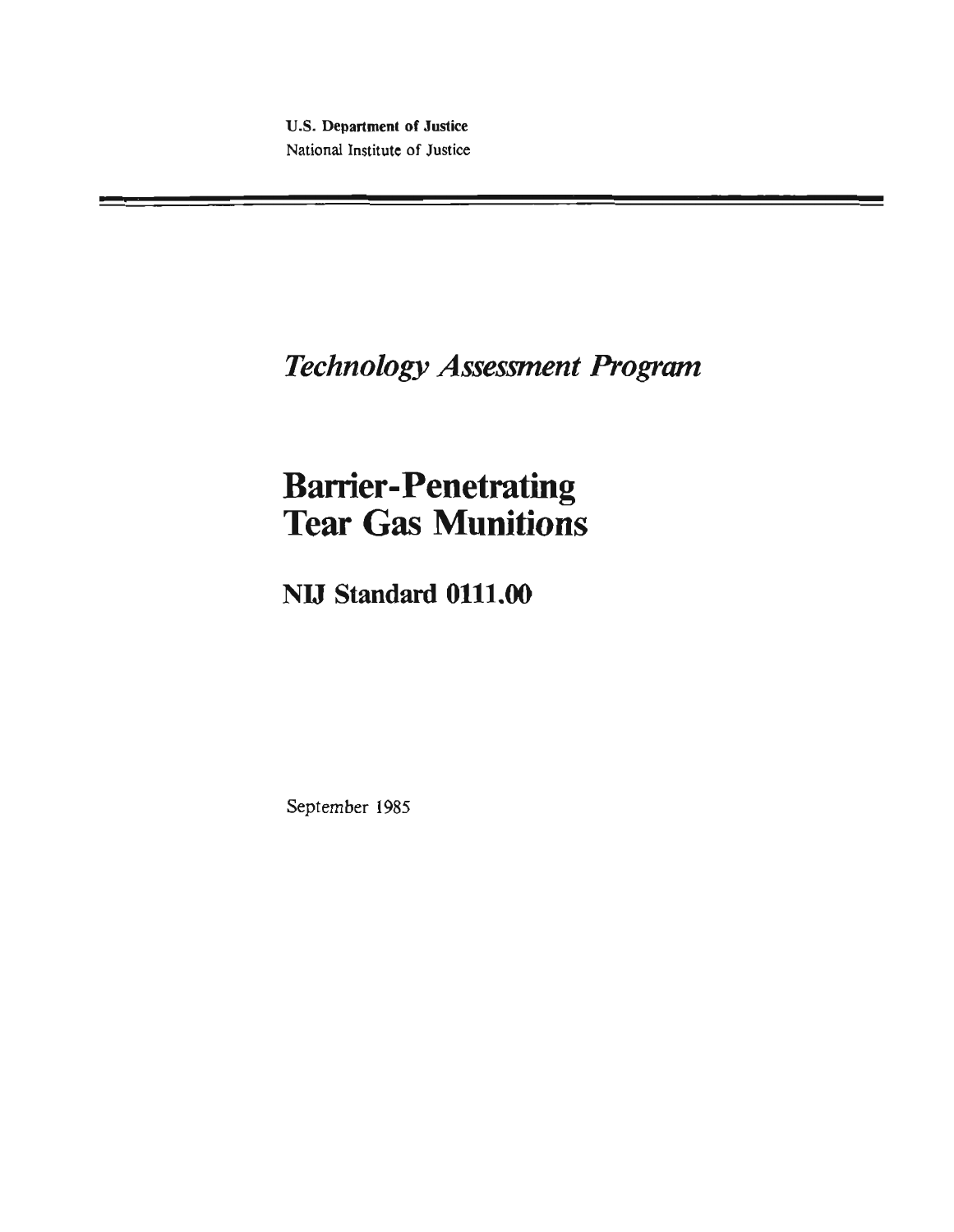**U.S. Departmen1 of Justice National Institute of Justice** 

# **Technology Assessment Program**

# **Barrier-Penetrating Tear Gas Munitions**

**NW Standard 0111.00** 

September **1985**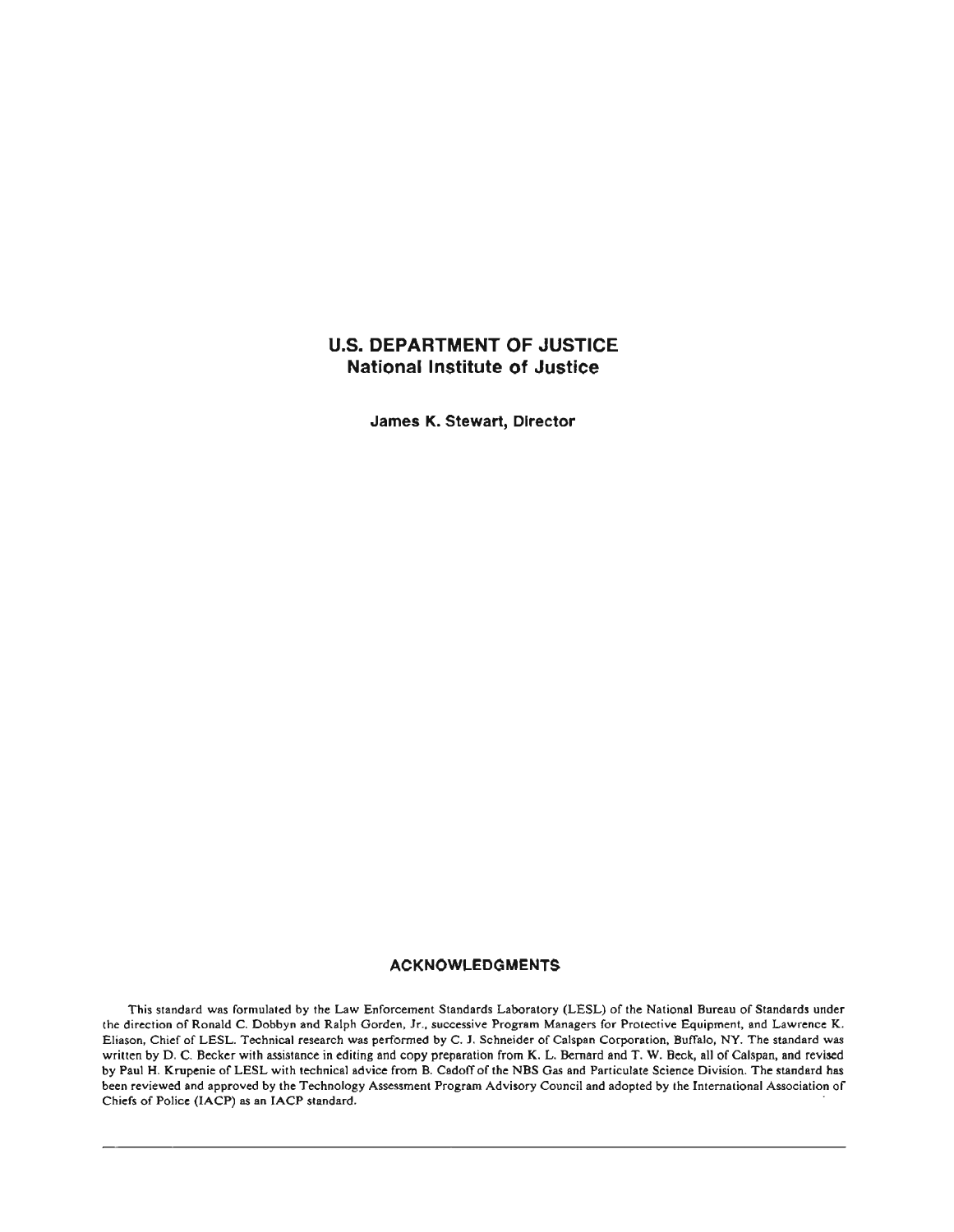# **U.S.DEPARTMENT OF JUSTICE National Institute of Justice**

**James K. Stewart, Director** 

#### **ACKNOWLEDGMENTS**

This standard was formulated by the Law Enforcement Standards Laboratory (LESL) of the National Bureau of Standards under the direction **of** Ronald C. Dobbyn and Ralph Gorden, Jr., successive Program Managers for Protective Equipment, and Lawrence K. Eliason, Chief of LESL. Technical research was performed **by** C. **1.** Schneider of Calspan Corporation, Buffaio, **NY.**The standard was written by D. C. Becker **with** assistance in editing and copy preparation from K. L. Bernard and **T.**W. **Beck,** all of Calspan, and revised **by** Paul H. **Krupenie** of LESL with technical advice from B. Cadoff of the **NBS** Gas **snd** Particulate Science Division. The standard has been reviewed and approved **by** the Technology Assessment Program Advisory Council and adopted by **the** International Association of Chiefs of Police (IACP) as an IACP standard.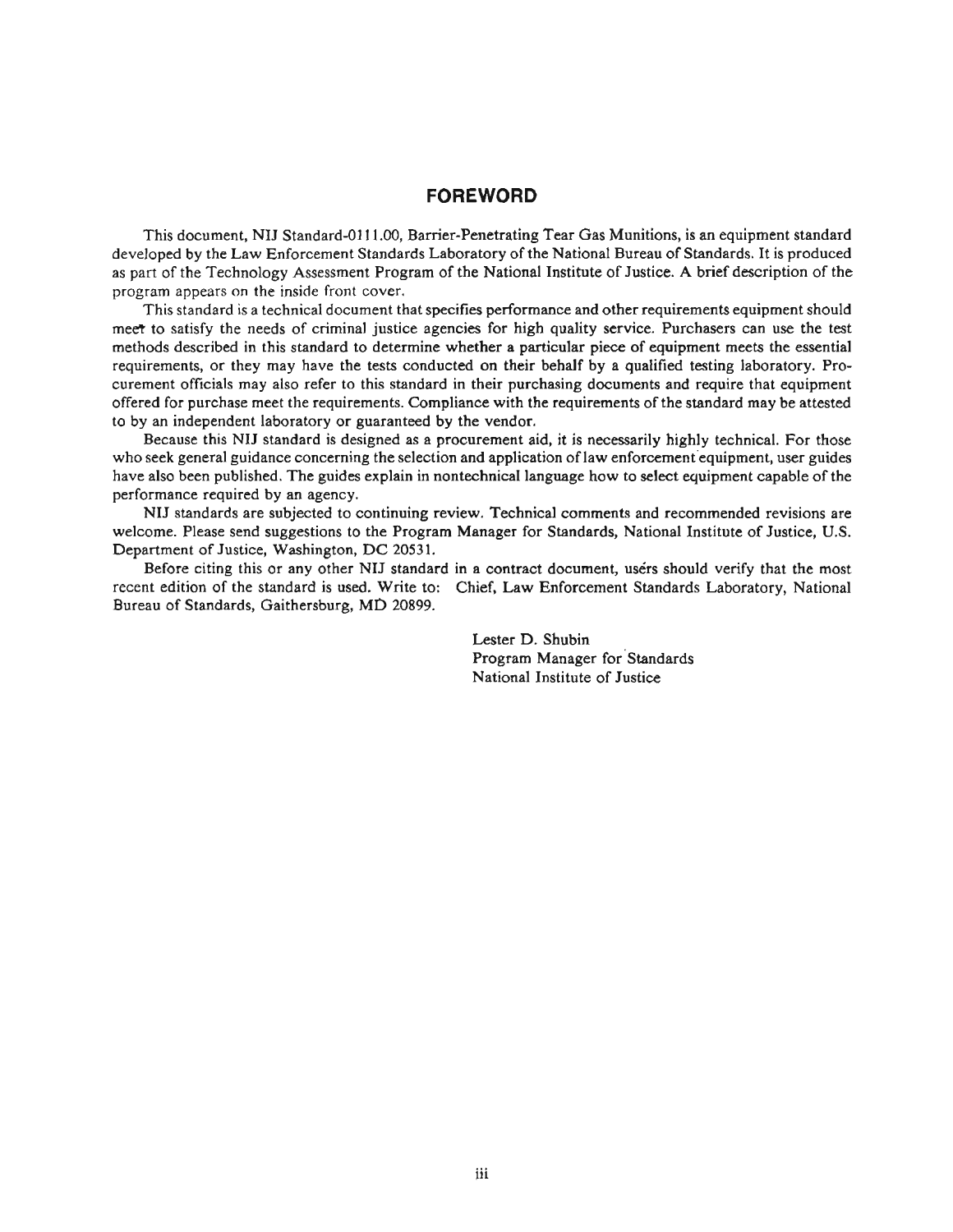## **FOREWORD**

This document, NIJ Standard-0111.00, Barrier-Penetrating Tear Gas Munitions, is an equipment standard developed by the Law Enforcement Standards Laboratory of the National Bureau of Standards. It is produced as part of the Technology Assessment Program of the National Institute of Justice. A brief description of the program appears on the inside front **cover.** 

This standard is a technical document that specifies performance and other requirements equipment should meet to satisfy the needs of criminal justice agencies for high quality service. Purchasers can use the test methods described in this standard to determine whether a particular piece of equipment meets the essential requirements, or they may have the tests conducted on their behalf by a qualified testing laboratory. Procurement officials may also refer to this standard in their purchasing documents and require that equipment offered for purchase meet the requirements. Compliance with the requirements of the standard may be attested to by an independent laboratory or guaranteed by the vendor.

Because this NIJ standard is designed as a procurement aid, it is necessarily highly technical. For those who seek general guidance concerning the selection and application of law enforcement equipment, user guides have also been published. The guides explain in nontechnica1 language how to select equipment capable of the performance required by an agency.

NIJ standards are subjected to continuing review. Technical comments and recommended revisions are welcome. Please send suggestions to the Program Manager for Standards, National Institute of Justice, U.S. Department of Justice, Washington, DC 20531.

Before citing this or any other NIJ standard in a contract document, users should verify that the most recent edition of the standard is used. Write to: Chief, Law Enforcement Standards Laboratory, National Bureau of Standards, Gaithersburg, **MD** 20899.

> Lester D. Shubin Program Manager for Standards National Institute of Justice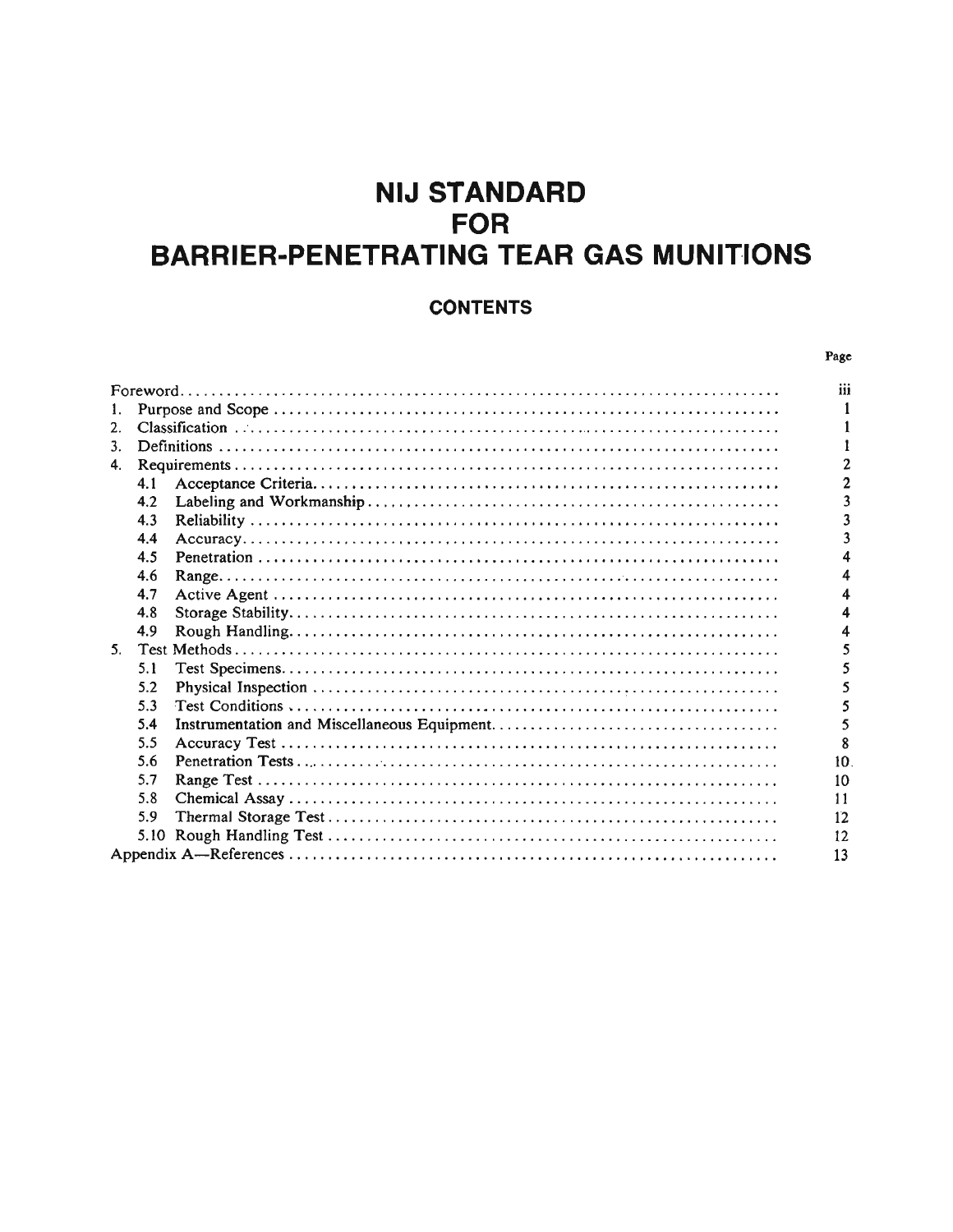# **NIJ STANDARD FOR BARRIER-PENETRATING TEAR GAS MUNITIONS**

# **CONTENTS**

|    |     | Page           |
|----|-----|----------------|
|    |     | iii            |
| 1. |     |                |
| 2. |     |                |
| 3. |     |                |
| 4. |     | $\overline{c}$ |
|    | 4.1 | $\overline{2}$ |
|    | 4.2 | 3              |
|    | 4.3 | 3              |
|    | 4.4 | 3              |
|    | 4.5 |                |
|    | 4.6 |                |
|    | 4.7 | 4              |
|    | 4.8 |                |
|    | 4.9 | 4              |
| 5. |     | 5              |
|    | 5.1 |                |
|    | 5.2 | 5              |
|    | 5.3 | 5              |
|    | 5.4 | 5              |
|    | 5.5 | 8              |
|    | 5.6 | 10             |
|    | 5.7 | 10             |
|    | 5.8 | 11             |
|    | 5.9 | 12             |
|    |     | 12             |
|    |     | 13             |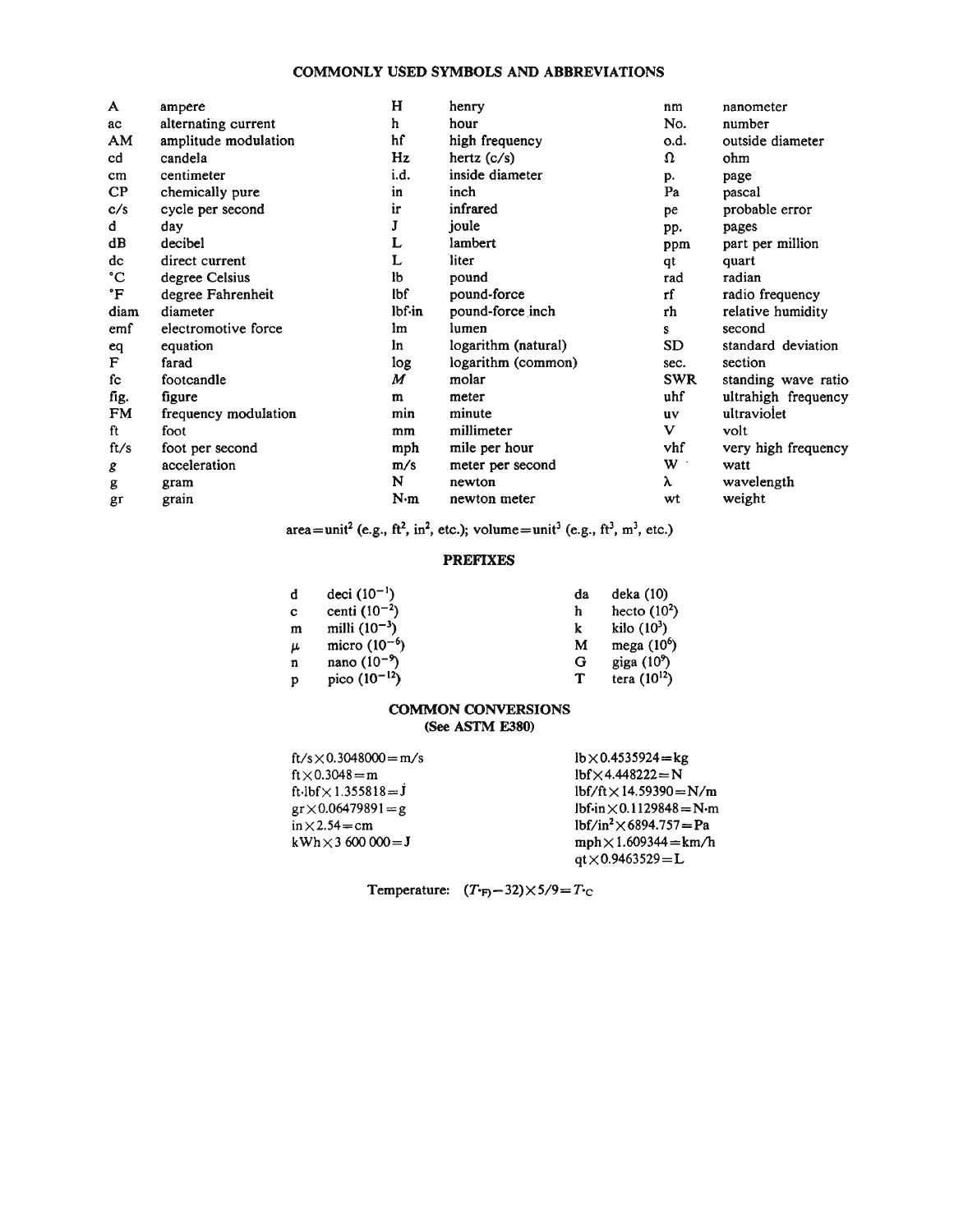## **COMMONLY USED SYMBOLS AND ABBREVIATIONS**

| A         | ampere               | н      | henry               | nm             | nanometer           |
|-----------|----------------------|--------|---------------------|----------------|---------------------|
| ac        | alternating current  | h.     | hour                | No.            | number              |
| AM        | amplitude modulation | hf     | high frequency      | o.d.           | outside diameter    |
| cd        | candela              | Hz     | hertz $(c/s)$       | $\Omega$       | ohm                 |
| cm        | centimeter           | i.d.   | inside diameter     | p.             | page                |
| $\bf CP$  | chemically pure      | in     | inch                | Pa             | pascal              |
| c/s       | cycle per second     | ir     | infrared            | pe             | probable error      |
| d         | day                  | J      | joule               | pp.            | pages               |
| dB        | decibel              | L      | lambert             | ppm            | part per million    |
| dc        | direct current       | L      | liter               | qt             | quart               |
| °C        | degree Celsius       | lb     | pound               | rad            | radian              |
| °F        | degree Fahrenheit    | lbf    | pound-force         | rf             | radio frequency     |
| diam      | diameter             | lbf.in | pound-force inch    | rh             | relative humidity   |
| emf       | electromotive force  | lm     | lumen               | S              | second              |
| eq        | equation             | ln     | logarithm (natural) | SD             | standard deviation  |
| F         | farad                | log    | logarithm (common)  | sec.           | section             |
| fc        | footcandle           | M      | molar               | <b>SWR</b>     | standing wave ratio |
| fig.      | figure               | m      | meter               | uhf            | ultrahigh frequency |
| <b>FM</b> | frequency modulation | min    | minute              | uv             | ultraviolet         |
| ft        | foot                 | mm     | millimeter          | V              | volt                |
| ft/s      | foot per second      | mph    | mile per hour       | vhf            | very high frequency |
| g         | acceleration         | m/s    | meter per second    | $\mathbf{W}$ . | watt                |
| g         | gram                 | N      | newton              | λ              | wavelength          |
| gr        | grain                | N·m    | newton meter        | wt             | weight              |

 $area = unit^2$  (e.g., ft<sup>2</sup>, in<sup>2</sup>, etc.); volume=unit<sup>3</sup> (e.g., ft<sup>3</sup>, m<sup>3</sup>, etc.)

### **PREFIXES**

| đ | deci $(10^{-1})$  | da | deka(10)         |
|---|-------------------|----|------------------|
| c | centi $(10^{-2})$ | h  | hecto $(10^2)$   |
| m | milli $(10^{-3})$ |    | kilo $(10^3)$    |
| μ | micro $(10^{-6})$ | M  | mega $(10^6)$    |
| n | nano $(10^{-9})$  | G  | giga $(10^9)$    |
| D | pico $(10^{-12})$ | ͳ  | tera $(10^{12})$ |

#### **COMMON CONVERSIONS (See ASTM E380)**

| $ft/s \times 0.3048000 = m/s$ | $lb \times 0.4535924 = kg$      |
|-------------------------------|---------------------------------|
| $ft \times 0.3048 = m$        | $lbf \times 4.448222 = N$       |
| ft-lbf $\times$ 1.355818=J    | $1bf/ft \times 14.59390 = N/m$  |
| $gr \times 0.06479891 = g$    | $lbfin \times 0.1129848 = N·m$  |
| $in \times 2.54 = cm$         | $1bf/in^2 \times 6894.757 = Pa$ |
| $kWh \times 3,600,000 = J$    | $mph \times 1.609344 = km/h$    |
|                               | $qt \times 0.9463529 = L$       |

Temperature:  $(T_{\text{F}} - 32) \times 5/9 = T_{\text{C}}$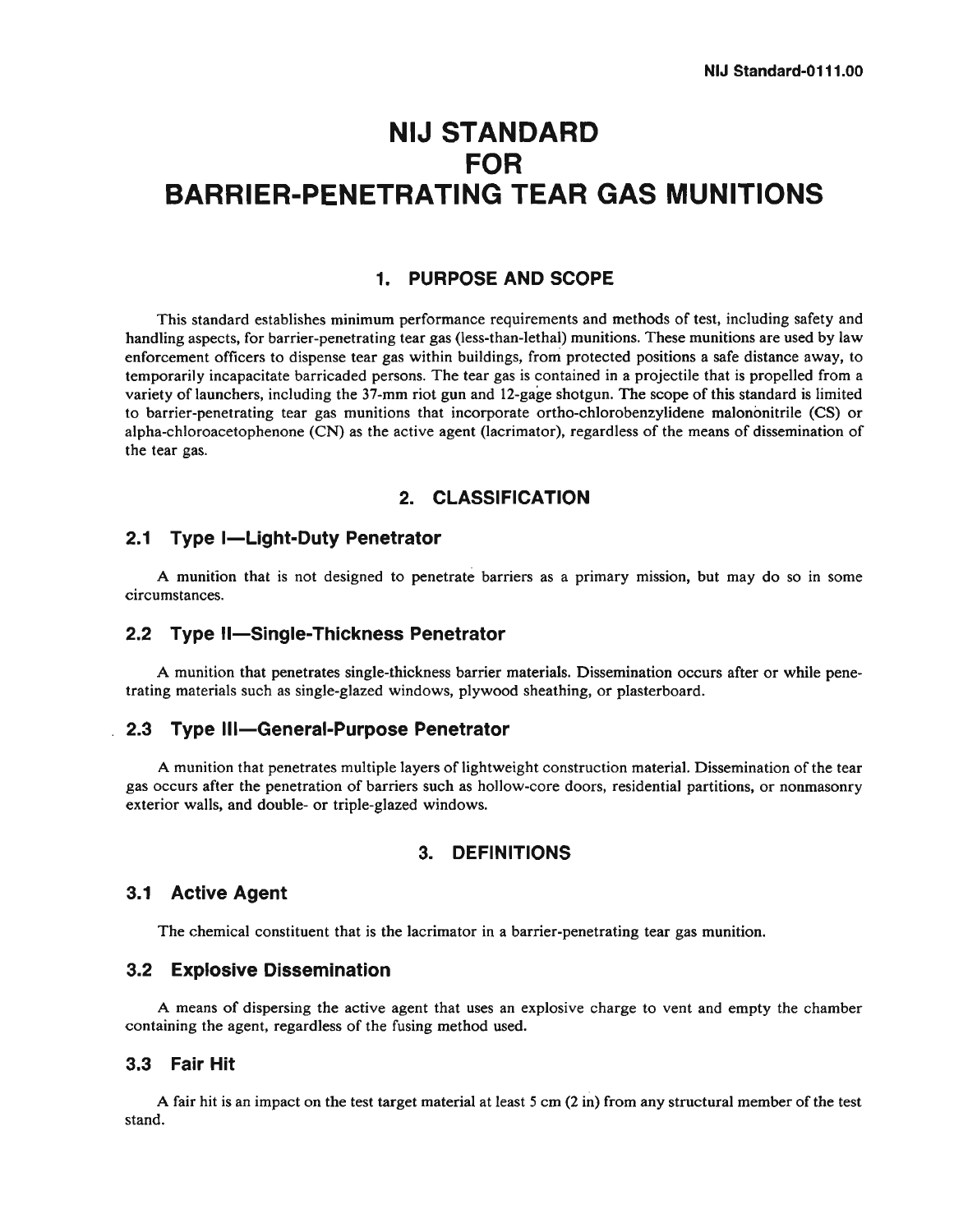# **NIJ STANDARD FOR BARRIER-PENETRATING TEAR GAS MUNITIONS**

## **1. PURPOSE AND SCOPE**

This standard establishes minimum performance requirements and methods of test, including safety and handling aspects, for barrier-penetrating tear gas (less-than-lethal) munitions. These munitions are used by law enforcement officers to dispense tear gas within buildings, from protected positions a safe distance away, to temporarily incapacitate barricaded persons. The tear gas is contained in a projectile that is propelled from a variety of launchers, including the 37-mm riot gun and 12-gage shotgun. The scope of this standard is limited to barrier-penetrating tear gas munitions that incorporate ortho-chlorobenzylidene malononitrile (CS) or alpha-chloroacetophenone (CN) as the active agent (lacrimator), regardless of the means of dissemination of the tear gas.

## **2. CLASSIFICATION**

### **2.1 Type I-Light-Duty Penetrator**

A munition that is not designed to penetrate barriers as a primary mission, but may do so in some circumstances.

## **2.2 Type Il-Single-Thickness Penetrator**

A munition that penetrates single-thickness barrier materials. Dissemination occurs after or while penetrating materials such as single-glazed windows, plywood sheathing, or plasterboard.

### **2.3 Type Ill-General-Purpose Penetrator**

A munition that penetrates multiple layers of lightweight construction material. Dissemination of the tear gas occurs after the penetration of barriers such as hollow-core doors, residential partitions, or nonrnasonry exterior walls, and double- or triple-glazed windows.

## **3. DEFINITIONS**

## **3.1 Active Agent**

The chemical constituent that is the lacrimator in a barrier-penetrating tear gas munition.

## **3.2 Explosive Dissemination**

A means of dispersing the active agent that uses an explosive charge to vent and empty the chamber containing the agent, regardless of the fusing method used.

## **3.3 Fair Hit**

A fair hit is an impact on the test target material at least 5 cm (2 in) from any structural member of the test stand.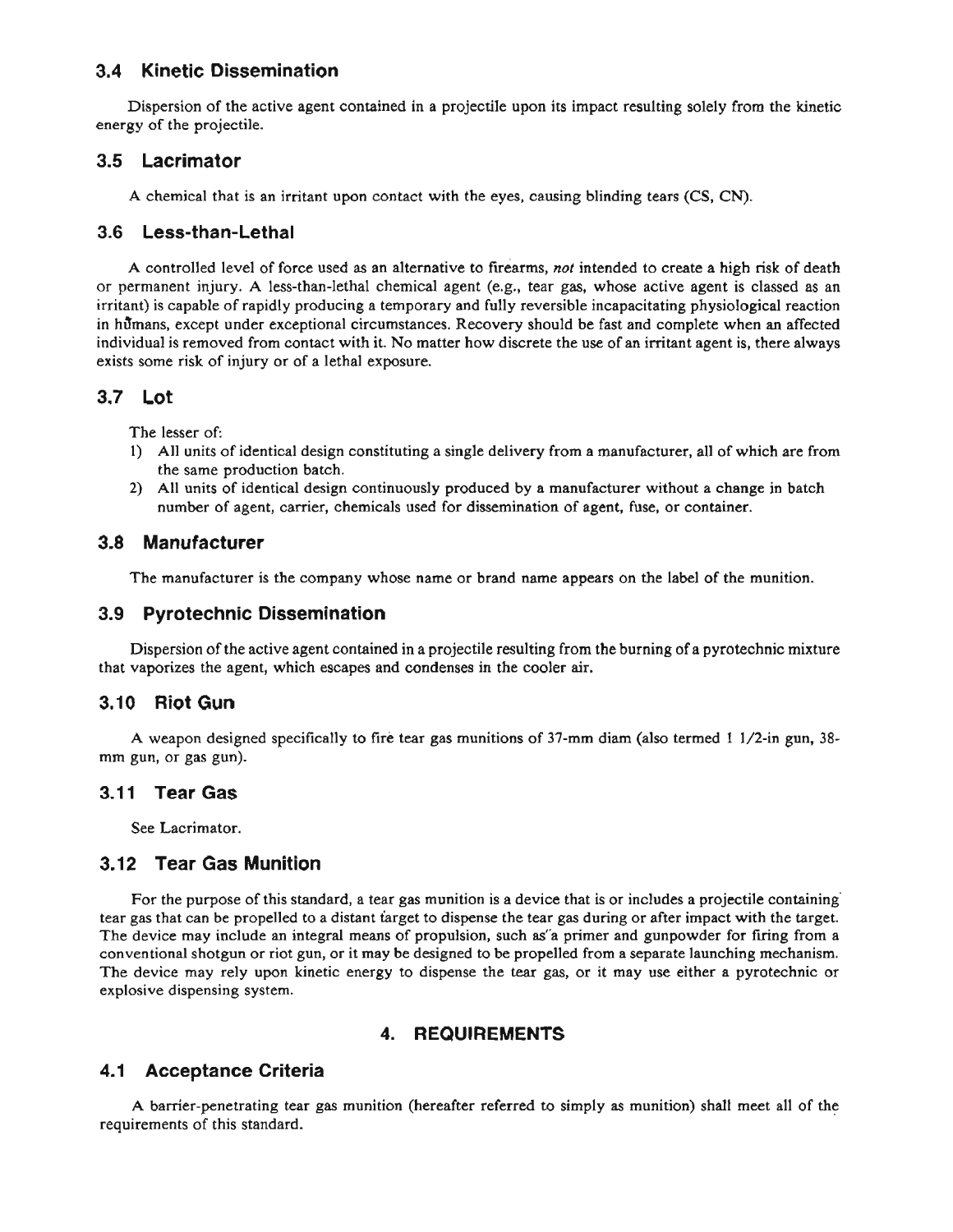## **3.4 Kinetic Dissemination**

Dispersion of the active agent contained in a projectile upon its impact resulting solely from the kinetic energy of the projectile.

## **3.5 Lacrimator**

A chemical that is an irritant upon contact with the eyes, causing blinding tears (CS, **CN).** 

## 3.6 Less-than-Lethal

A controlled level of force used as an alternative to firearms, not intended to create a high risk of death or permanent injury. A less-than-lethal chemical agent (e.g., tear gas, whose active agent is classed as an irritant) is capable of rapidly producing a temporary and fully reversible incapacitating physiotogical reaction in humans, except under exceptional circumstances. Recovery should be fast and complete when an affected individual is removed from contact with it. No matter how discrete the use of an irritant agent is, there always exists some risk of injury or of a lethal exposure.

## **3.7 Lot**

The lesser of:

- 1) All units of identical design constituting a single delivery from a manufacturer, all of which are from the same production batch.
- 2) All units of identical design continuously produced by a manufacturer without a change in batch number of agent, carrier, chemicals used for dissemination of agent, fuse, or container.

## **3.8 Manufacturer**

The manufacturer is the company whose name or brand name appears on the label of the munition.

## **3.9 Pyrotechnic Dissemination**

Dispersion of the active agent contained in a projectile resulting from the burning of a pyrotechnic mixture that vaporizes the agent, which escapes and condenses in the cooler air.

## **3.10 Riot Gun**

A weapon designed specifically to fire tear gas munitions of **37-mrn** dim (also termed I 1/2-in gun, **38** mm gun, or gas gun).

## **3.1 1 Tear Gas**

See Lacrimator.

## **3.12 Tear Gas Munition**

For the purpose of this standard, a tear gas munition is a device that is or includes a projectile containing tear gas that can be propelled to a distant target to dispense the tear gas during or after impact with the target. **The** device may include an integral means of propulsion, such **as"a** primer and gunpowder for firing from a conventional shotgun or riot gun, or it may be designed to be propelled from a separate launching mechanism. **The** device may rely **upon** kinetic energy to dispense the tear **gas,** or it may use either a pyrotechnic or explosive dispensing system.

## **4. REQUIREMENTS**

## **4.1 Acceptance Criteria**

A barrier-penetrating tear gas munition (hereafter referred to simply as munition) shall meet all of the requirements of this standard.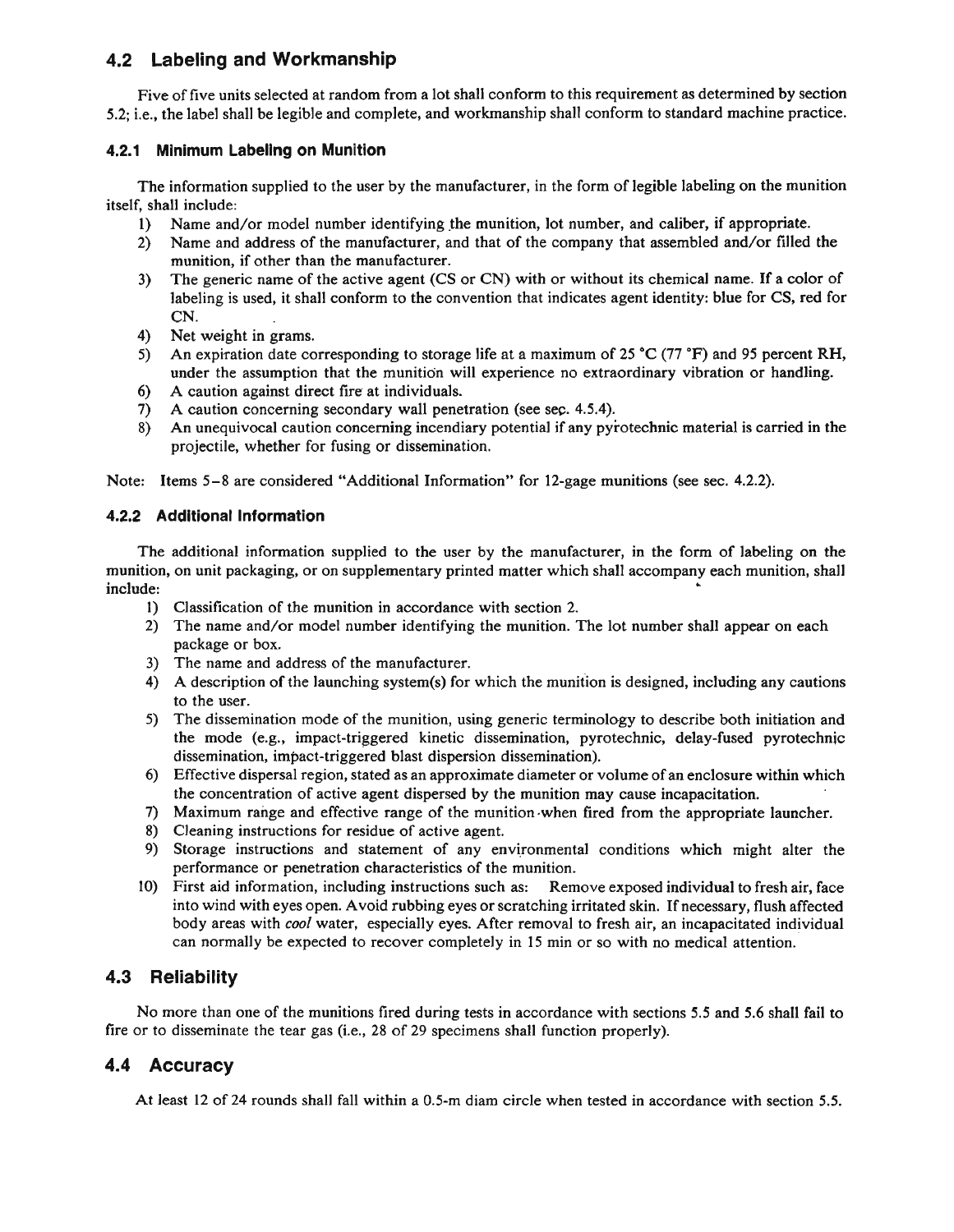# **4.2 Labeling and Workmanship**

Five of five units selected at random from a lot shall conform to this requirement as determined by section 5.2; i.e., the label shall be legible and complete, and workmanship shall conform to standard machine practice.

## **4.2.1 Minimum Labellng on Munltion**

The information supplied to the user by the manufacturer, in the form of legible labeling on the munition itself, shall include:

- 
- 1) Name and/or model number identifying the munition, lot number, and caliber, if appropriate.<br>2) Name and address of the manufacturer, and that of the company that assembled and/or filled 2) Name and address of the manufacturer, and that of the company that assembled and/or filled the munition, if other than the manufacturer.
- **3)**  The generic name of the active agent (CS or CN) with or without its chemical name. If a color of labeling is used, it shall conform to the convention that indicates agent identity: blue for CS, red for CN.
- 4) Net weight in grams.
- 5) An expiration date corresponding to storage life at a maximum of 25 °C (77 °F) and 95 percent RH, under the assumption that the munition will experience no extraordinary vibration or handling.
- **6)** A caution against direct fire at individuals.
- **7)** A caution concerning secondary wall penetration (see sec. 4.5.4).<br> **8)** An unequivocal caution concerning incendiary potential if any pyr
- 8) An unequivocal caution concerning incendiary potential if any pyrotechnic material is carried in the projectile, whether for fusing or dissemination.

Note: Items 5-8 are considered "Additional Information" for 12-gage munitions (see sec. 4.2.2).

## **4.2.2 Additional Information**

The additional information supplied to the user by the manufacturer, in the form of labeling on the munition, on unit packaging, or on supplementary printed matter which shall accompany each munition, shall include:

- **1)** Classification of the munition in accordance with section 2.
- 2) The name and/or model number identifying the munition. The lot number shall appear on each package or box.
- 3) The name and address of the manufacturer.
- 4) A description of the launching system(s) for which the munition is designed, including any cautions to the user.
- 5) The dissemination mode of the munition, using generic terminology to describe both initiation and the mode (e.g., impact-triggered kinetic dissemination, pyrotechnic, delay-fused pyrotechnic dissemination, impact-triggered blast dispersion dissemination).
- 6) Effective dispersal region, stated as an approximate diameter or volume of an enclosure within which the concentration of active agent dispersed by the munition may cause incapacitation.
- 7) Maximum range and effective range of the munition.when fired from the appropriate launcher.
- 8) Cleaning instructions for residue of active agent.
- 9) Storage instructions and statement of any environmental conditions which might alter the performance or penetration characteristics of the munition.
- 10) First aid information, including instructions such as: Remove exposed individual to fresh air, face into wind with eyes open. Avoid rubbing eyes or scratching irritated skin. If necessary, flush affected body areas with cool water, especially eyes. After removal to fresh air, an incapacitated individual can normally be expected to recover completely in 15 min or so with no medical attention.

## **4.3 Reliability**

No more than one of the munitions fired during tests in accordance with sections 5.5 and 5.6 shall fail to fire or to disseminate the tear gas (i.e., 28 of 29 specimens shall function properly).

## **4.4 Accuracy**

At least 12 of 24 rounds shall fall within a 0.5-m diam circle when tested in accordance with section 5.5.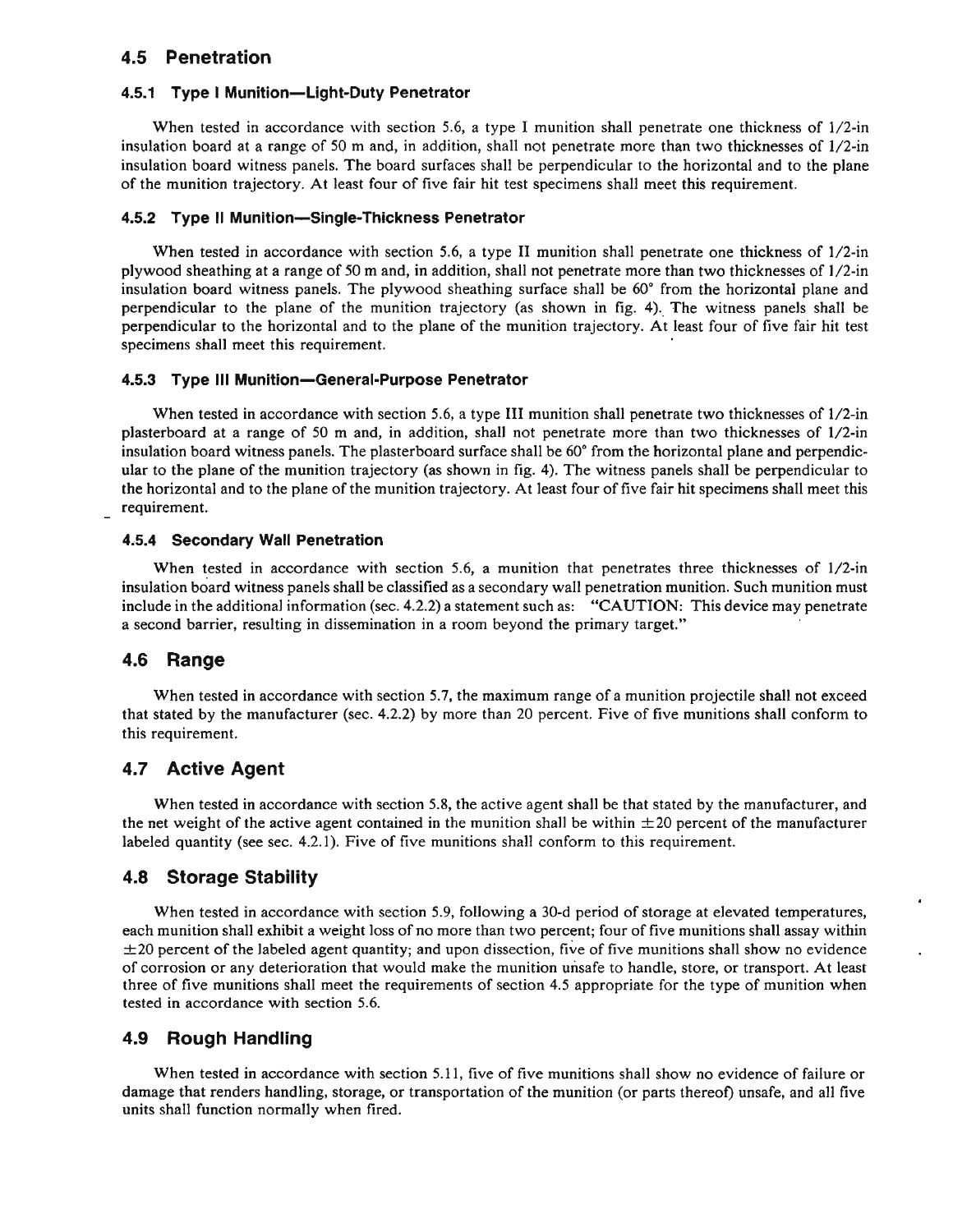## **4.5 Penetration**

#### **4.5.1 Type I Munition-Light-Duty Penetrator**

When tested in accordance with section 5.6, a type I munition shall penetrate one thickness of  $1/2$ -in insulation board at a range of 50 m and, in addition, shall not penetrate more than two thicknesses of 1/2-in insulation board witness panels. The board surfaces shall be perpendicular to the horizontal and to the plane of the munition trajectory. At least four of five fair hit test specimens shall meet this requirement.

#### **4.5.2 Type II Munition-Single-Thickness Penetrator**

When tested in accordance with section 5.6, a type **I1** munition shall penetrate one thickness of 1/2-in plywood sheathing at a range of 50 m and, in addition, shall not penetrate more than two thicknesses of 1/2-in insulation board witness panels. The plywood sheathing surface shall be 60" from the horizontal plane and perpendicular to the plane of the munition trajectory (as shown in fig. 4). The witness panels shall be perpendicular to the horizontal and to the plane of the munition trajectory. At least four of five fair hit test specimens shall meet this requirement.

#### **4.5.3 Type Ill Munition-General-Purpose Penetrator**

When tested in accordance with section 5.6, a type **111** munition shall penetrate two thicknesses of 1/2-in plasterboard at a range of 50 m and, in addition, shall not penetrate more than two thicknesses of 1/2-in insulation board witness panels. The plasterboard surface shall be 60" from the horizontal plane and perpendicular to the plane of the munition trajectory (as shown in fig. 4). The witness panels shall be perpendicular to the horizontal and to the plane of the munition trajectory. At least four of five fair hit specimens shall meet this requirement.

#### **4.5.4 Secondary Wall Penetration**

When tested in accordance with section 5.6, a munition that penetrates three thicknesses of  $1/2$ -in insulation board witness panels shall be classified as a secondary wall penetration munition. Such munition must include in the additional information (sec. 4.2.2) a statement such as: "CAUTION: This device may penetrate a second barrier, resulting in dissemination in a room beyond the primary target."

### **4.6 Range**

When tested in accordance with section 5.7, the maximum range of a munition projectile shall not exceed that stated by the manufacturer (sec. 4.2.2) by more than 20 percent. Five of five munitions shall conform to this requirement.

## **4.7 Active Agent**

When tested in accordance with section 5.8, the active agent shall be that stated by the manufacturer, and the net weight of the active agent contained in the munition shall be within  $\pm 20$  percent of the manufacturer labeled quantity (see sec. 4.2.1). Five of five munitions shall conform to this requirement.

### **4.8 Storage Stability**

When tested in accordance with section 5.9, following a 30-d period of storage at elevated temperatures, each munition shall exhibit a weight loss of no more than two percent; four of five munitions shall assay within  $\pm$ 20 percent of the labeled agent quantity; and upon dissection, five of five munitions shall show no evidence of corrosion or any deterioration that would make the munition unsafe to handle, store, or transport. At least three of five munitions shall meet the requirements of section 4.5 appropriate for the type of munition when tested in accordance with section 5.6.

### **4.9 Rough Handling**

When tested in accordance with section 5.11, five of five munitions shall show no evidence of failure or damage that renders handling, storage, or transportation of the munition (or parts thereof) unsafe, and all five units shall function normally when fired.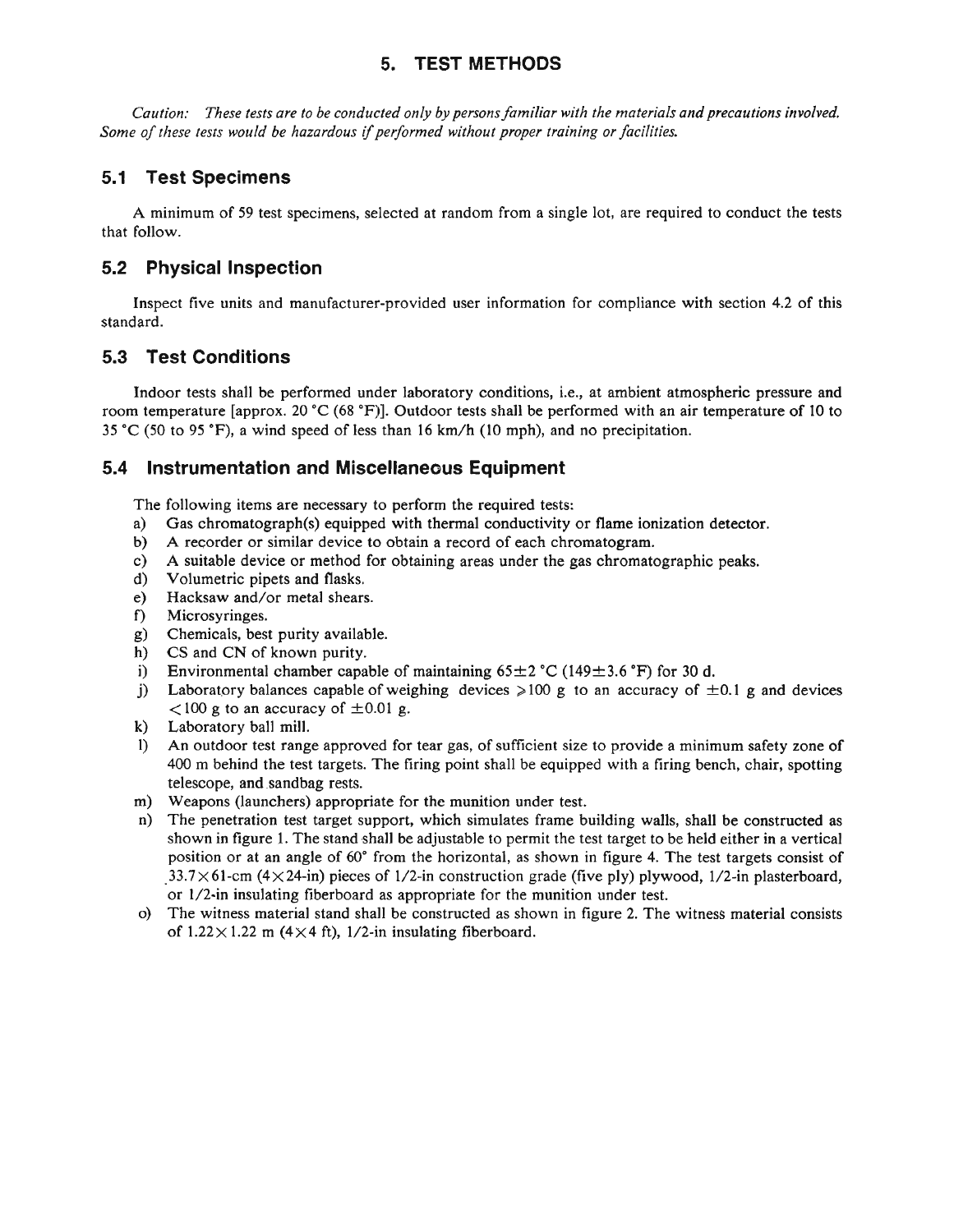# **5. TEST METHODS**

*Caution: These tests are to be conducted only by personsfamiliar with the materials and precautions involved. Some of these tests would be hazardous if performed without proper training or facilities.* 

# **5.1 Test Specimens**

A minimum of 59 test specimens, selected at random from a single lot, are required to conduct the tests that follow.

# **5.2 Physical Inspection**

Inspect five units and manufacturer-provided user information for compliance with section 4.2 of this standard.

# **5.3 Test Conditions**

Indoor tests shall be performed under laboratory conditions, i.e., at ambient atmospheric pressure and room temperature [approx. 20 *"C*(68 **"F)].**Outdoor tests shall be performed with an air temperature of 10 to 35 *"C*(50 to 95 **OF),** a wind speed of less than 16 km/h (10 mph), and no precipitation.

## **5.4 Instrumentation and Miscellaneous Equipment**

The following items are necessary to perform the required tests:

- a) Gas chromatograph(s) equipped with thermal conductivity or flame ionization detector.<br>b) A recorder or similar device to obtain a record of each chromatogram.
- b) A recorder or similar device to obtain a record of each chromatogram.
- c) A suitable device or method for obtaining areas under the gas chromatographic peaks.<br>d) Volumetric pipets and flasks.
- Volumetric pipets and flasks.
- e) Hacksaw and/or metal shears.
- f) Microsyringes.
- g) Chemicals, best purity available.
- h) **CS** and CN of known purity.
- i) Environmental chamber capable of maintaining  $65\pm2$  °C (149 $\pm3.6$  °F) for 30 d.
- j) Laboratory balances capable of weighing devices  $>100$  g to an accuracy of  $\pm 0.1$  g and devices  $<$ 100 g to an accuracy of  $\pm$ 0.01 g.
- k) Laboratory ball mill.
- 1) An outdoor test range approved for tear gas, of sufficient size to provide a minimum safety zone of 400 m behind the test targets. The firing point shall be equipped with a firing bench, chair, spotting telescope, and .sandbag rests.
- m) Weapons (launchers) appropriate for the munition under test.
- n) The penetration test target support, which simulates frame building walls, shall be constructed as shown in figure 1. The stand shall be adjustable to permit the test target to be held either in a vertical position or at an angle of 60" from the horizontal, as shown in figure 4. The test targets consist of **.33.7**X 61-cm (4x 24-in) pieces of 1/2-in construction grade (five ply) plywood, 1/2-in plasterboard, or 1/2-in insulating fiberboard as appropriate for the munition under test.
- o) The witness material stand shall be constructed as shown in figure 2. The witness material consists of  $1.22 \times 1.22$  m (4×4 ft), 1/2-in insulating fiberboard.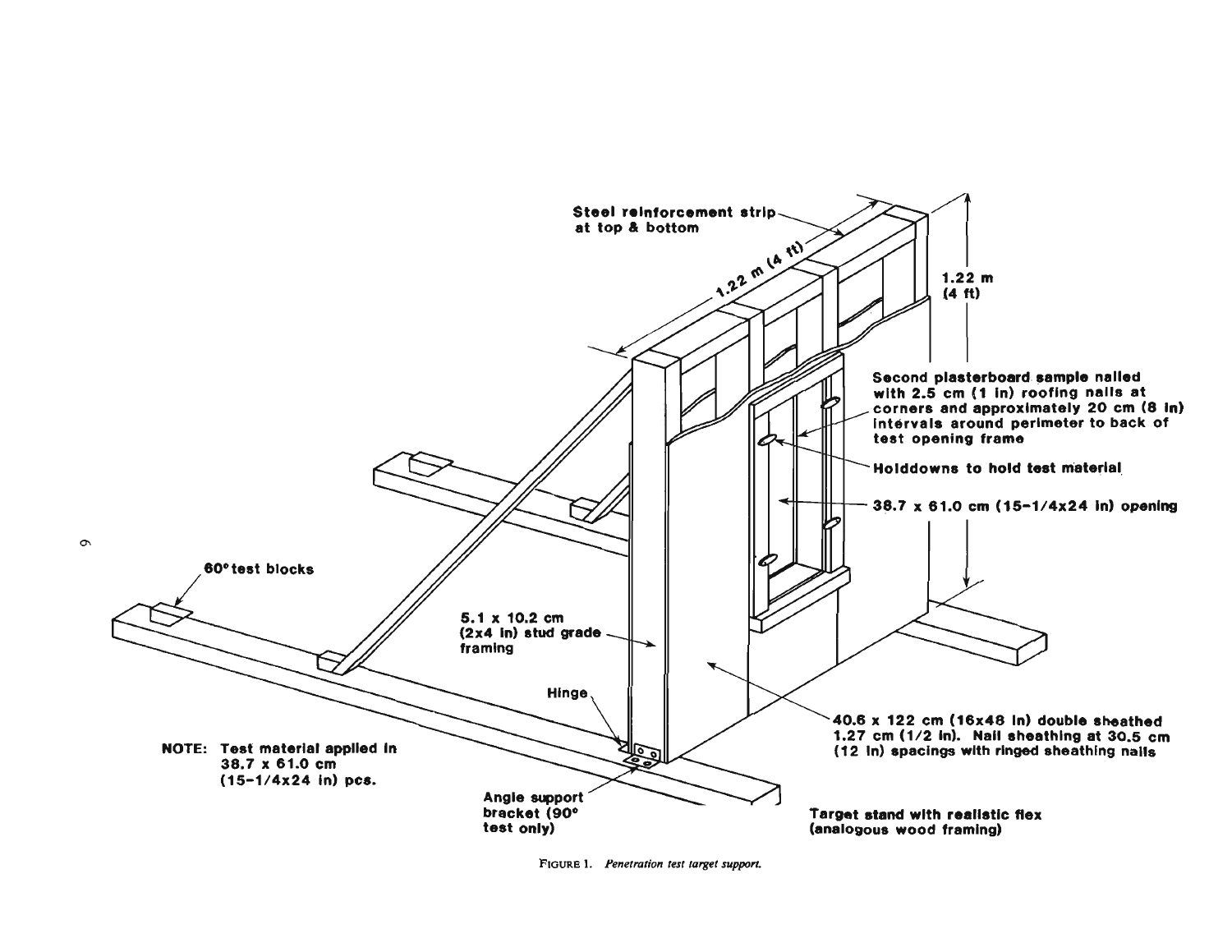

FIGURE 1. Penetration test target support.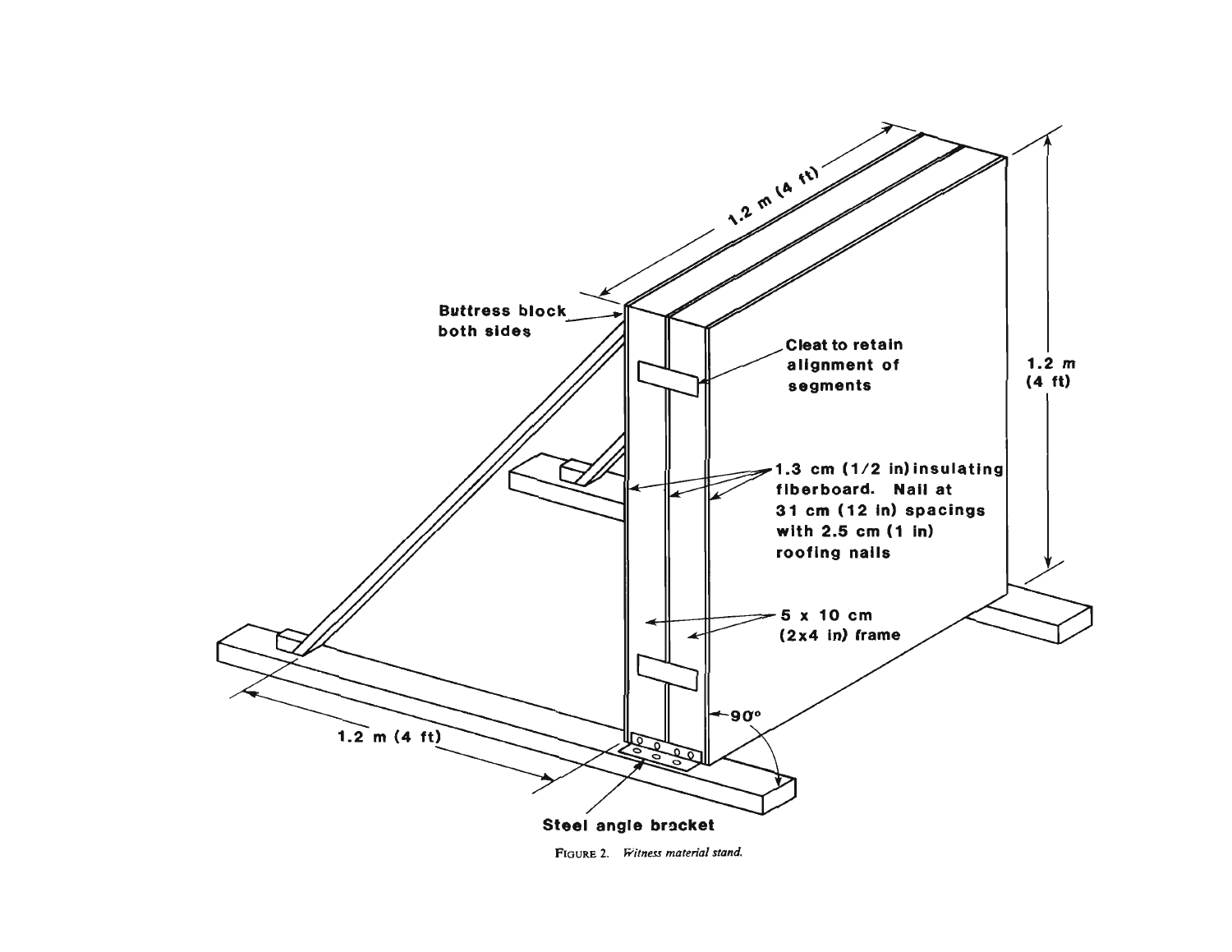

**FIGURE 2.** Witness material stand.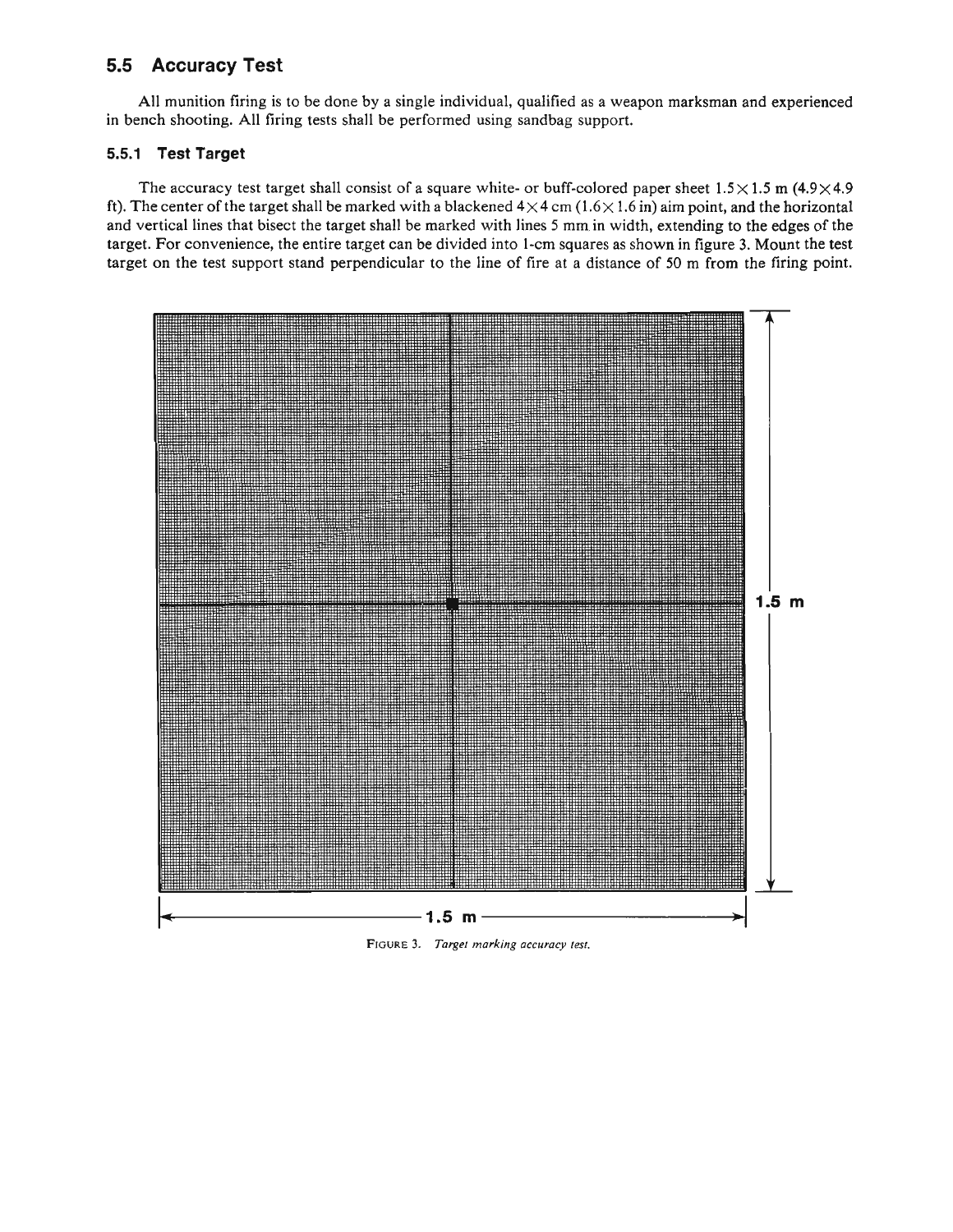# **5.5 Accuracy Test**

All munition firing is to be done by a single individual, qualified as a weapon marksman and experienced in bench shooting. All firing tests shall be performed using sandbag support.

## **5.5.1 Test Target**

The accuracy test target shall consist of a square white- or buff-colored paper sheet  $1.5 \times 1.5$  m  $(4.9 \times 4.9)$ ft). The center of the target shall be marked with a blackened  $4 \times 4$  cm  $(1.6 \times 1.6$  in) aim point, and the horizontal and vertical lines that bisect the target shall be marked with lines 5 mm.in width, extending to the edges of the target. For convenience, the entire target can be divided into 1-cm squares as shown in figure 3. Mount the test target on the test support stand perpendicular to the line of fire at a distance of 50 m from the firing point.



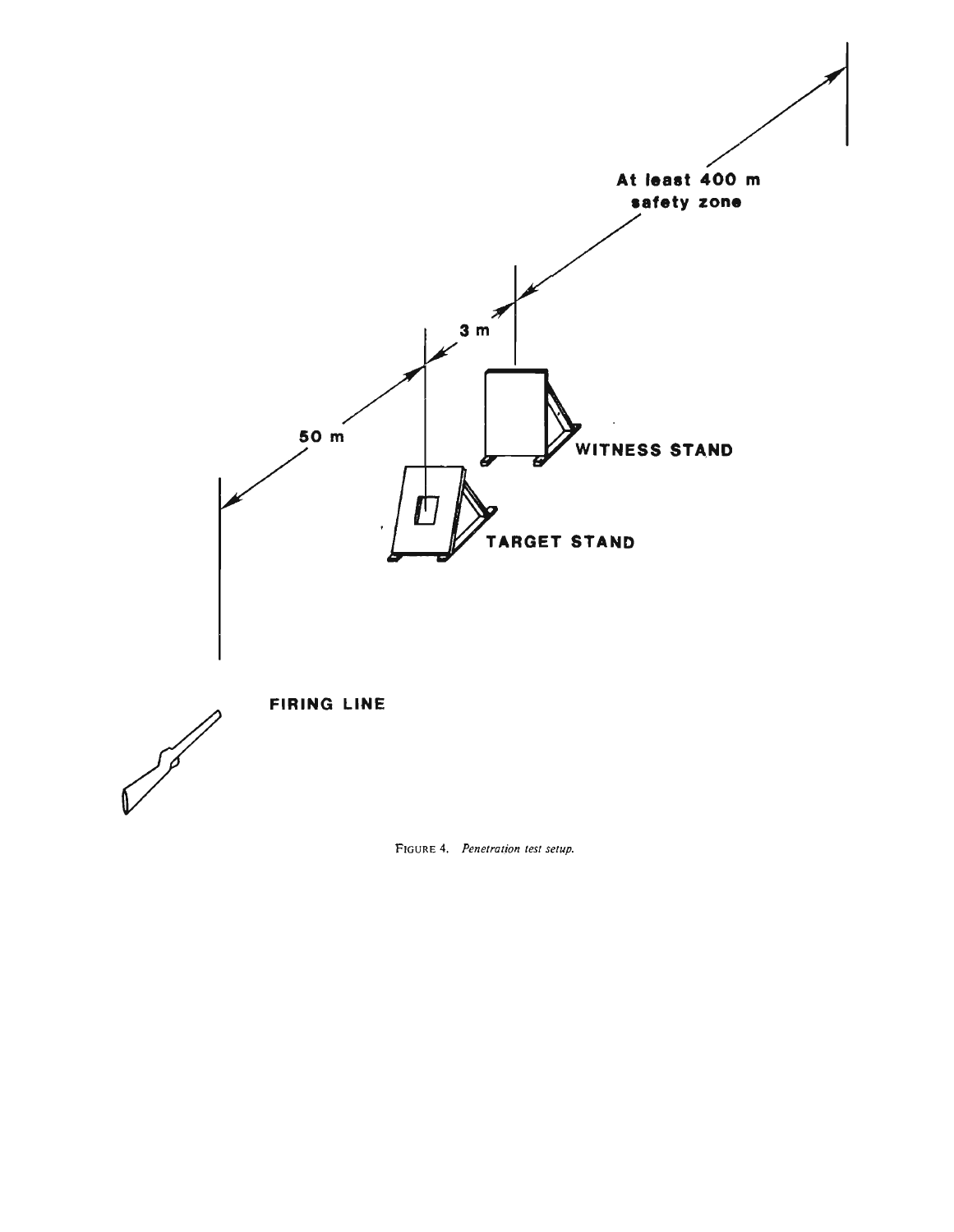

**FIGURE 4.** *Penetration* **test setup.**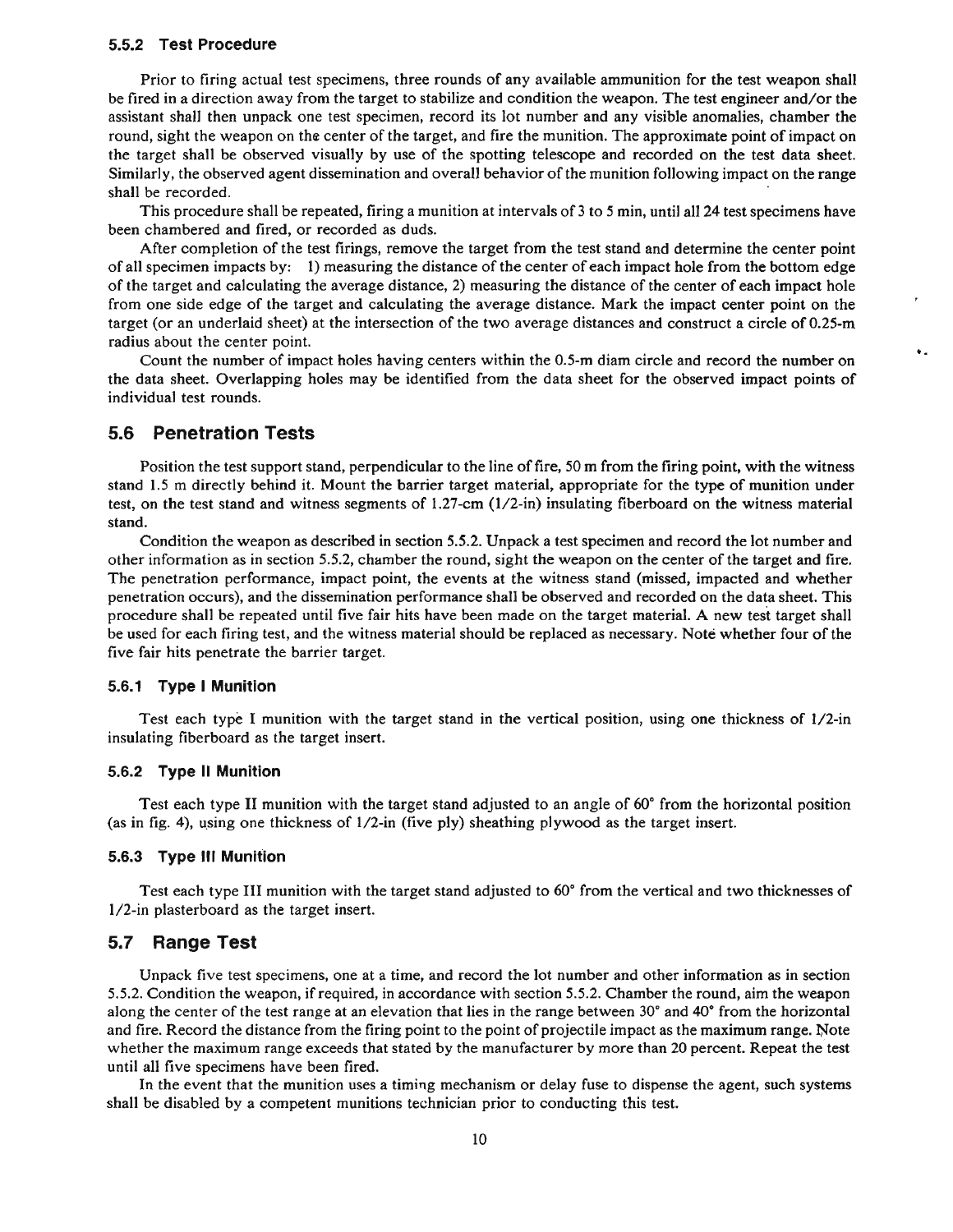#### **5.5.2 Test Procedure**

Prior to firing actual test specimens, three rounds of any available ammunition for the test weapon shall be fired in a direction away from the target to stabilize and condition the weapon. The test engineer and/or the assistant shall then unpack one test specimen, record its lot number and any visible anomalies, chamber the round, sight the weapon on the center of the target, and fire the munition. The approximate point of impact on the target shall be observed visually by use of the spotting telescope and recorded on the test data sheet. Similarly, the observed agent dissemination and overall behavior of the munition following impact on the range shall be recorded.

This procedure shall be repeated, firing a munition at intervals of 3 to 5 min, until all 24 test specimens have been chambered and fired, or recorded as duds.

After completion of the test firings, remove the target from the test stand and determine the center point of all specimen impacts by: 1) measuring the distance of the center of each impact hole from the bottom edge of the target and calculating the average distance, 2) measuring the distance of the center of each impact hole from one side edge of the target and calculating the average distance. Mark the impact center point on the target (or an underlaid sheet) at the intersection of the two average distances and construct a circle of 0.25-m radius about the center point.

Count the number of impact holes having centers within the 0.5-m diam circle and record the number on the data sheet. Overlapping holes may be identified from the data sheet for the observed impact points of individual test rounds.

 $\bullet$  .

## **5.6 Penetration Tests**

Position the test support stand, perpendicular to the line of fire, 50 m from the firing point, with the witness stand 1.5 m directly behind it. Mount the barrier target material, appropriate for the type of munition under test, on the test stand and witness segments of 1.27-cm (1/2-in) insulating fiberboard on the witness material stand.

Condition the weapon as described in section 5.5.2. Unpack a test specimen and record the lot number and other information **as** in section 5.5.2, chamber the round, sight the weapon on the center of the target and fire. The penetration performance, impact point, the events at the witness stand (missed, impacted and whether penetration occurs), and the dissemination performance shall be observed and recorded on the data sheet. This procedure shall be repeated until five fair hits have been made on the target material. A new test target shall be used for each firing test, and the witness material should be replaced as necessary. Note whether four of the five fair hits penetrate the barrier target.

#### **5.6.1 Type I Munition**

Test each type I munition with the target stand in the vertical position, using one thickness of 1/2-in insulating fiberboard as the target insert.

#### **5.6.2 Type ll Munition**

Test each type **I1** munition with the target stand adjusted to an angle of *60"* from the horizontal position (as in fig. 4), using one thickness of 1/2-in (five ply) sheathing plywood **as** the target insert.

#### **5.6.3 Type Ill Munition**

Test each type **I11** munition with the target stand adjusted to **60"**from the vertical and two thicknesses of 1/2-in plasterboard as the target insert.

#### **5.7 Range Test**

Unpack five test specimens, one at a time, and record the lot number and other information as in section 5.5.2. Condition the weapon, if required, in accordance with section 5.5.2. Chamber the round, aim the weapon along the center of the test range at an elevation that lies in the range between 30" and **40"** from the horizontal and fire. Record the distance from the firing point to the point of projectile impact as the maximum range. Wote whether the maximum range exceeds that stated **by** the manufacturer by more than 20 percent. Repeat the test until all five specimens have been fired.

In the event that the munition uses a timing mechanism or delay fuse to dispense the agent, such systems shall be disabled by a competent munitions technician prior to conducting this test.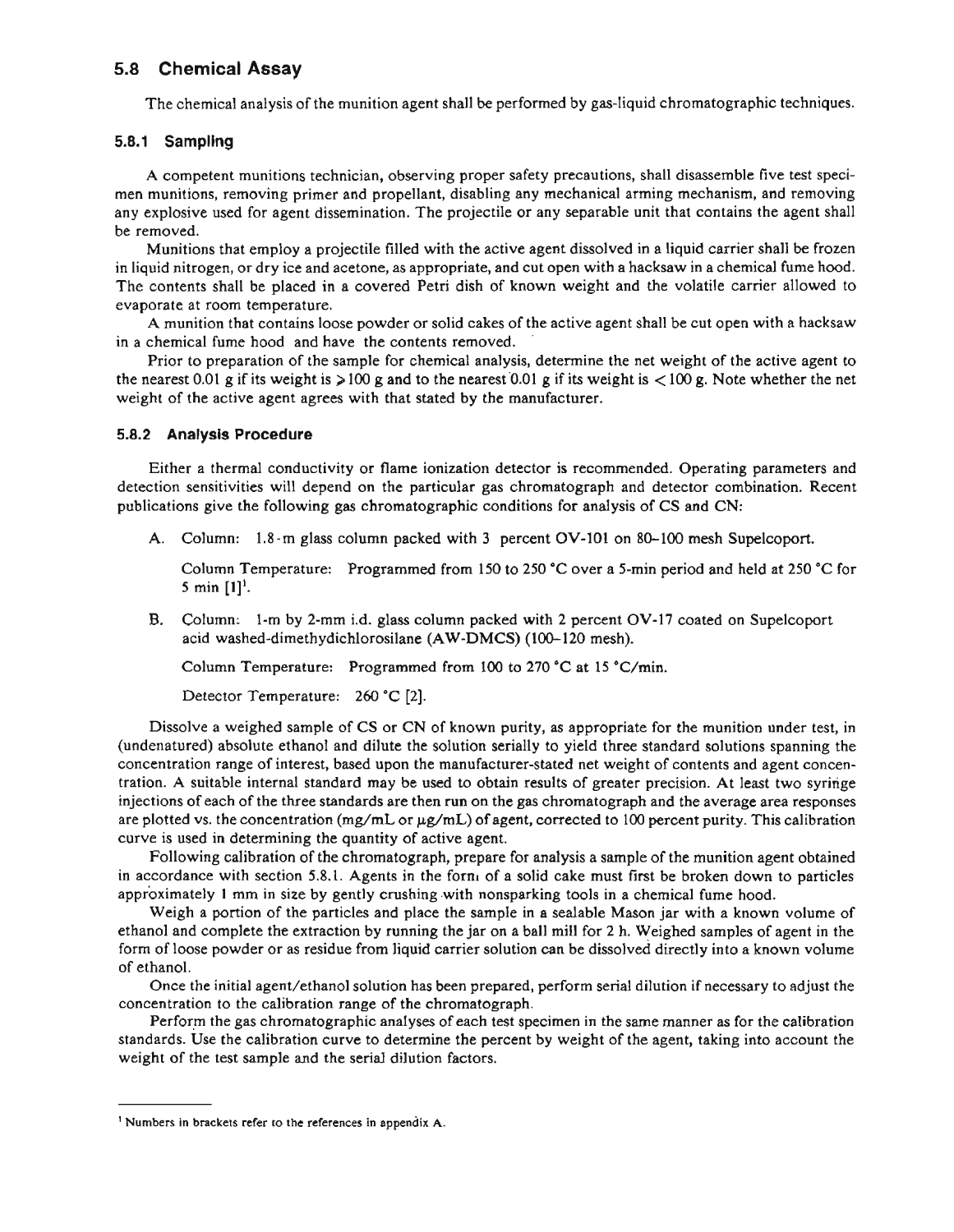## **5.8 Chemical Assay**

The chemical analysis of the munition agent shall be performed by gas-liquid chromatographic techniques.

#### **5.8.1 Sampling**

A competent munitions technician, observing proper safety precautions, shall disassemble five test specimen munitions, removing primer and propellant, disabling any mechanical arming mechanism, and removing any explosive used for agent dissemination. The projectile or any separable unit that contains the agent shall be removed.

Munitions that employ a projectile filled with the active agent dissolved in a liquid carrier shall be frozen in liquid nitrogen, or dry ice and acetone, as appropriate, and cut open with a hacksaw in a chemical fume hood. The contents shall be placed in a covered Petri dish of known weight and the volatile carrier allowed to evaporate at room temperature.

A munition that contains loose powder or solid cakes of the active agent shall be cut open with a hacksaw in a chemical fume hood and have the contents removed. '

Prior to preparation of the sample for chemical analysis, determine the net weight of the active agent to the nearest 0.01 g if its weight is  $> 100$  g and to the nearest 0.01 g if its weight is  $< 100$  g. Note whether the net weight of the active agent agrees with that stated by the manufacturer.

#### **5.8.2 Analysis Procedure**

Either a thermal conductivity or flame ionization detector is recommended. Operating parameters and detection sensitivities will depend on the particular gas chromatograph and detector combination. Recent publications give the following gas chromatographic conditions for analysis of CS and CN:

A. Column: 1.8-m glass column packed with 3 percent **OV-101**on 80-100 mesh Supelcoport.

Column Temperature: Programmed from 150 to 250 'C over a 5-min period and held at 250 *"C*for **<sup>5</sup>**min **[I]'.** 

**B.** Column: **1-m** by 2-mm i.d. glass column packed with 2 percent **OV-17**coated on Supelcoport acid washed-dimethydichlorosilane (AW-DMCS) (100-120 mesh).

Column Temperature: Programmed from 100 to 270 **"C**at 15 \*C/min.

Detector Temperature: 260 *'C* [2].

Dissolve a weighed sample of CS or CN of known purity, as appropriate for the munition under test, in (undenatured) absolute ethanol and dilute the solution serially to yield three standard solutions spanning the concentration range of interest, based upon the manufacturer-stated net weight of contents and agent concentration. A suitable internal standard may be used to obtain results of greater precision. At least two syringe injections of each of the three standards are then run on the gas chromatograph and the average area responses are plotted vs. the concentration (mg/mL or  $\mu$ g/mL) of agent, corrected to 100 percent purity. This calibration curve is used in determining the quantity of active agent.

Following calibration of the chromatograph, prepare for analysis a sample of the munition agent obtained in accordance with section 5.8.1. Agents in the form of a solid cake must first be broken down to particles approximately 1 mm in size by gently crushing with nonsparking tools in a chemical fume hood.

Weigh a portion of the particles and place the sample in a sealable Mason jar with a known volume of ethanol and complete the extraction by running the jar on a ball mill for 2 h. Weighed samples of agent in the form of loose powder or as residue from liquid carrier solution can be dissolved directly into a known volume of ethanol.

Once the initial agent/ethanol solution has been prepared, perform serial dilution if necessary to adjust the concentration to the calibration range of the chromatograph.

Perform the gas chromatographic analyses of each test specimen in the same manner as for the calibration standards. Use the calibration curve to determine the percent by weight of the agent, taking into account the weight of the test sample and the serial dilution factors.

<sup>&#</sup>x27; **Numbers in brackets refer to the references in appendix A.**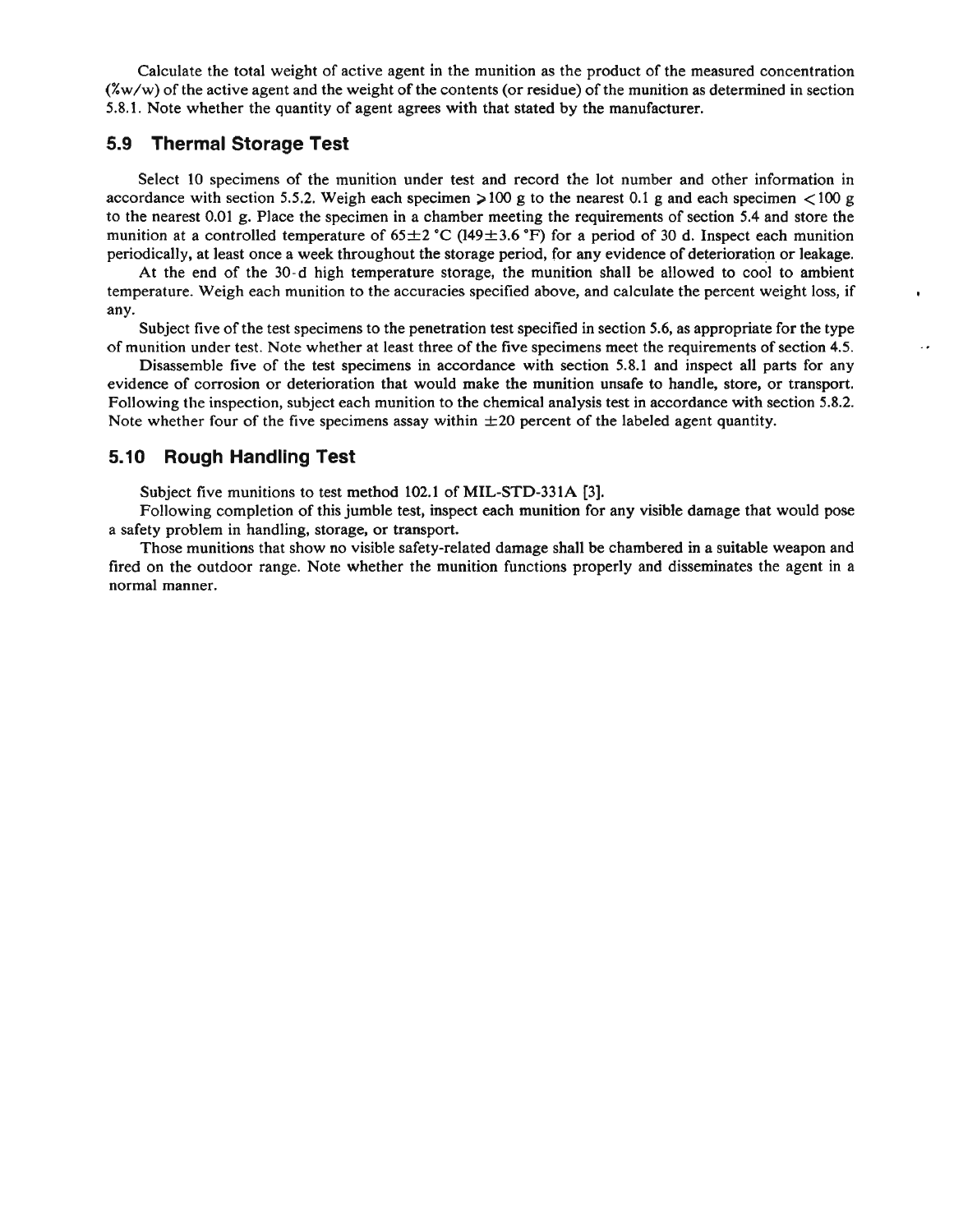Calculate the total weight of active agent in the munition as the product of the measured concentration  $(\frac{2}{w}w)$  of the active agent and the weight of the contents (or residue) of the munition as determined in section 5.8.1. Note whether the quantity of agent agrees with that stated by the manufacturer.

## **5.9 Thermal Storage Test**

Select 10 specimens of the munition under test and record the lot number and other information in accordance with section 5.5.2. Weigh each specimen  $>100$  g to the nearest 0.1 g and each specimen  $<100$  g to the nearest 0.01 g. Place the specimen in a chamber meeting the requirements of section 5.4 and store the munition at a controlled temperature of  $65\pm 2$  °C (149 $\pm$ 3.6 °F) for a period of 30 d. Inspect each munition periodically, at least once a week throughout the storage period, for any evidence of deterioration or leakage.

At the end of the 30-d high temperature storage, the munition shall be allowed to cool to ambient temperature. Weigh each munition to the accuracies specified above, and calculate the percent weight loss, if any.

Subject five of the test specimens to the penetration test specified in section 5.6, as appropriate for the type of munition under test. Note whether at least three of the five specimens meet the requirements of section 4.5.

 $\cdot$   $\cdot$ 

Disassemble five of the test specimens in accordance with section 5.8.1 and inspect all parts for any evidence of corrosion or deterioration that would make the munition unsafe to handle, store, or transport. Following the inspection, subject each munition to the chemical analysis test in accordance with section 5.8.2. Note whether four of the five specimens assay within  $\pm 20$  percent of the labeled agent quantity.

## **5.10 Rough Handling Test**

Subject five munitions to test method 102.1 of MIL-STD-331A [3].

Following completion of this jumble test, inspect each munition for **any** visible damage that would pose a safety problem in handling, storage, or transport.

Those munitions that show no visible safety-related damage shall be chambered in a suitable weapon and fired on the outdoor range. Note whether the munition functions properly and disseminates the agent in a normal manner.